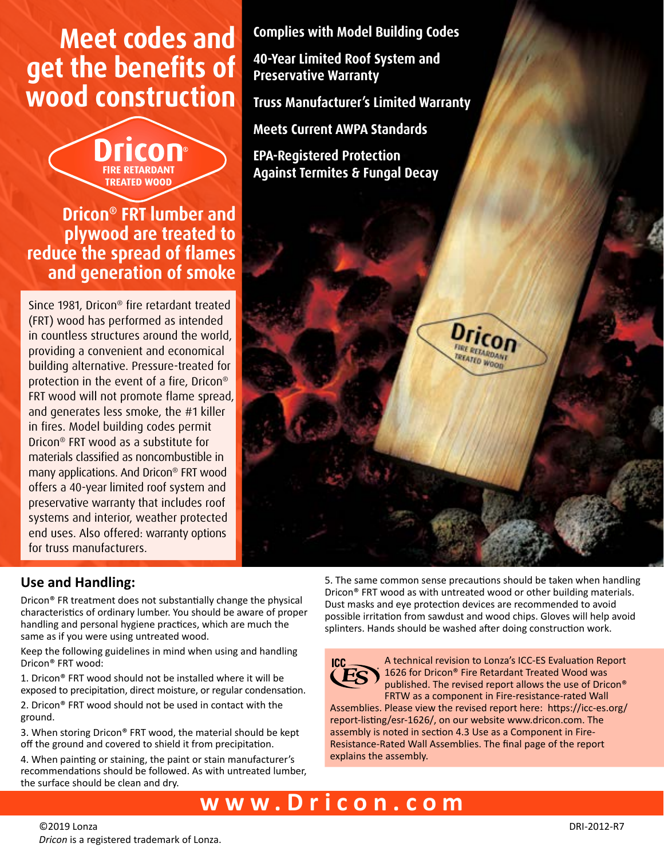# **Meet codes and get the benefits of wood construction**

## **Dricon® FRT lumber and plywood are treated to reduce the spread of flames and generation of smoke**

**TREATED WOOD** 

Since 1981, Dricon® fire retardant treated (FRT) wood has performed as intended in countless structures around the world, providing a convenient and economical building alternative. Pressure-treated for protection in the event of a fire, Dricon® FRT wood will not promote flame spread, and generates less smoke, the #1 killer in fires. Model building codes permit Dricon® FRT wood as a substitute for materials classified as noncombustible in many applications. And Dricon® FRT wood offers a 40-year limited roof system and preservative warranty that includes roof systems and interior, weather protected end uses. Also offered: warranty options for truss manufacturers.

### **Use and Handling:**

Dricon® FR treatment does not substantially change the physical characteristics of ordinary lumber. You should be aware of proper handling and personal hygiene practices, which are much the same as if you were using untreated wood.

Keep the following guidelines in mind when using and handling Dricon® FRT wood:

1. Dricon® FRT wood should not be installed where it will be exposed to precipitation, direct moisture, or regular condensation.

2. Dricon® FRT wood should not be used in contact with the ground.

3. When storing Dricon® FRT wood, the material should be kept off the ground and covered to shield it from precipitation.

4. When painting or staining, the paint or stain manufacturer's recommendations should be followed. As with untreated lumber, the surface should be clean and dry.

**40-Year Limited Roof System and Preservative Warranty**

**Truss Manufacturer's Limited Warranty**

**Complies with Model Building Codes**

**Meets Current AWPA Standards**

**EPA-Registered Protection Against Termites & Fungal Decay**



5. The same common sense precautions should be taken when handling Dricon® FRT wood as with untreated wood or other building materials. Dust masks and eye protection devices are recommended to avoid possible irritation from sawdust and wood chips. Gloves will help avoid splinters. Hands should be washed after doing construction work.



A technical revision to Lonza's ICC-ES Evaluation Report 1626 for Dricon® Fire Retardant Treated Wood was published. The revised report allows the use of Dricon® FRTW as a component in Fire-resistance-rated Wall

Assemblies. Please view the revised report here: https://icc-es.org/ report-listing/esr-1626/, on our website www.dricon.com. The assembly is noted in section 4.3 Use as a Component in Fire-Resistance-Rated Wall Assemblies. The final page of the report explains the assembly.

# **www.Dricon.com**